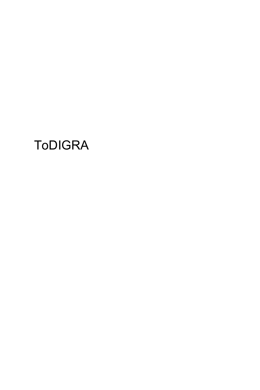# **ToDIGRA**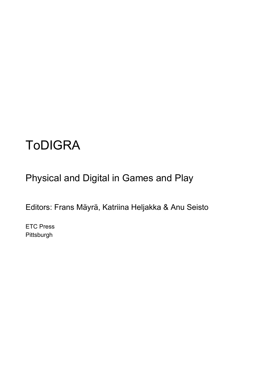## ToDIGRA

Physical and Digital in Games and Play

Editors: Frans Mäyrä, Katriina Heljakka & Anu Seisto

ETC Press Pittsburgh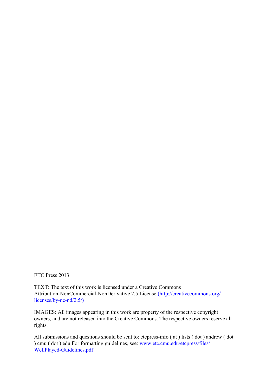ETC Press 2013

TEXT: The text of this work is licensed under a Creative Commons Attribution-NonCommercial-NonDerivative 2.5 License [\(http://creativecommons.org/](http://creativecommons.org/licenses/by-nc-nd/2.5/)) [licenses/by-nc-nd/2.5/\)](http://creativecommons.org/licenses/by-nc-nd/2.5/))

IMAGES: All images appearing in this work are property of the respective copyright owners, and are not released into the Creative Commons. The respective owners reserve all rights.

All submissions and questions should be sent to: etcpress-info ( at ) lists ( dot ) andrew ( dot ) cmu ( dot ) edu For formatting guidelines, see: [www.etc.cmu.edu/etcpress/files/](http://www.etc.cmu.edu/etcpress/files/WellPlayed-Guidelines.pdf) [WellPlayed-Guidelines.pdf](http://www.etc.cmu.edu/etcpress/files/WellPlayed-Guidelines.pdf)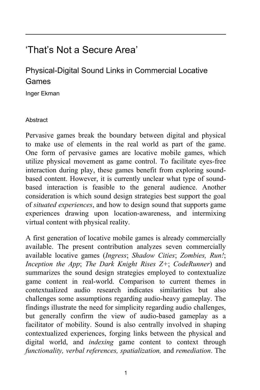### 'That's Not a Secure Area'

### Physical-Digital Sound Links in Commercial Locative Games

Inger Ekman

#### **Abstract**

Pervasive games break the boundary between digital and physical to make use of elements in the real world as part of the game. One form of pervasive games are locative mobile games, which utilize physical movement as game control. To facilitate eyes-free interaction during play, these games benefit from exploring soundbased content. However, it is currently unclear what type of soundbased interaction is feasible to the general audience. Another consideration is which sound design strategies best support the goal of *situated experiences*, and how to design sound that supports game experiences drawing upon location-awareness, and intermixing virtual content with physical reality.

A first generation of locative mobile games is already commercially available. The present contribution analyzes seven commercially available locative games (*Ingress*; *Shadow Cities*; *Zombies, Run!*; *Inception the App*; *The Dark Knight Rises Z+*; *CodeRunner*) and summarizes the sound design strategies employed to contextualize game content in real-world. Comparison to current themes in contextualized audio research indicates similarities but also challenges some assumptions regarding audio-heavy gameplay. The findings illustrate the need for simplicity regarding audio challenges, but generally confirm the view of audio-based gameplay as a facilitator of mobility. Sound is also centrally involved in shaping contextualized experiences, forging links between the physical and digital world, and *indexing* game content to context through *functionality, verbal references, spatialization,* and *remediation*. The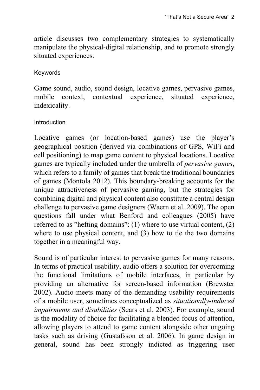article discusses two complementary strategies to systematically manipulate the physical-digital relationship, and to promote strongly situated experiences.

#### Keywords

Game sound, audio, sound design, locative games, pervasive games, mobile context, contextual experience, situated experience, indexicality.

#### Introduction

Locative games (or location-based games) use the player's geographical position (derived via combinations of GPS, WiFi and cell positioning) to map game content to physical locations. Locative games are typically included under the umbrella of *pervasive games*, which refers to a family of games that break the traditional boundaries of games (Montola 2012). This boundary-breaking accounts for the unique attractiveness of pervasive gaming, but the strategies for combining digital and physical content also constitute a central design challenge to pervasive game designers (Waern et al. 2009). The open questions fall under what Benford and colleagues (2005) have referred to as "hefting domains": (1) where to use virtual content, (2) where to use physical content, and (3) how to tie the two domains together in a meaningful way.

Sound is of particular interest to pervasive games for many reasons. In terms of practical usability, audio offers a solution for overcoming the functional limitations of mobile interfaces, in particular by providing an alternative for screen-based information (Brewster 2002). Audio meets many of the demanding usability requirements of a mobile user, sometimes conceptualized as *situationally-induced impairments and disabilities* (Sears et al. 2003). For example, sound is the modality of choice for facilitating a blended focus of attention, allowing players to attend to game content alongside other ongoing tasks such as driving (Gustafsson et al. 2006). In game design in general, sound has been strongly indicted as triggering user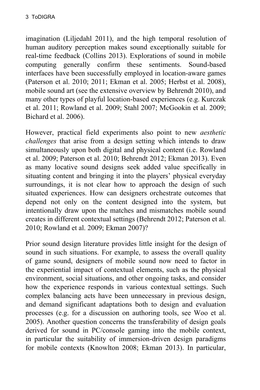imagination (Liljedahl 2011), and the high temporal resolution of human auditory perception makes sound exceptionally suitable for real-time feedback (Collins 2013). Explorations of sound in mobile computing generally confirm these sentiments. Sound-based interfaces have been successfully employed in location-aware games (Paterson et al. 2010; 2011; Ekman et al. 2005; Herbst et al. 2008), mobile sound art (see the extensive overview by Behrendt 2010), and many other types of playful location-based experiences (e.g. Kurczak et al. 2011; Rowland et al. 2009; Stahl 2007; McGookin et al. 2009; Bichard et al. 2006).

However, practical field experiments also point to new *aesthetic challenges* that arise from a design setting which intends to draw simultaneously upon both digital and physical content (i.e. Rowland et al. 2009; Paterson et al. 2010; Behrendt 2012; Ekman 2013). Even as many locative sound designs seek added value specifically in situating content and bringing it into the players' physical everyday surroundings, it is not clear how to approach the design of such situated experiences. How can designers orchestrate outcomes that depend not only on the content designed into the system, but intentionally draw upon the matches and mismatches mobile sound creates in different contextual settings (Behrendt 2012; Paterson et al. 2010; Rowland et al. 2009; Ekman 2007)?

Prior sound design literature provides little insight for the design of sound in such situations. For example, to assess the overall quality of game sound, designers of mobile sound now need to factor in the experiential impact of contextual elements, such as the physical environment, social situations, and other ongoing tasks, and consider how the experience responds in various contextual settings. Such complex balancing acts have been unnecessary in previous design, and demand significant adaptations both to design and evaluation processes (e.g. for a discussion on authoring tools, see Woo et al. 2005). Another question concerns the transferability of design goals derived for sound in PC/console gaming into the mobile context, in particular the suitability of immersion-driven design paradigms for mobile contexts (Knowlton 2008; Ekman 2013). In particular,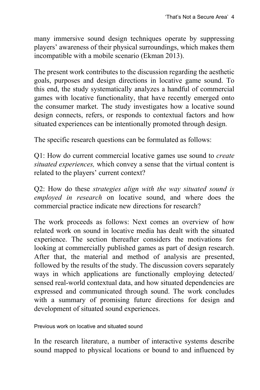many immersive sound design techniques operate by suppressing players' awareness of their physical surroundings, which makes them incompatible with a mobile scenario (Ekman 2013).

The present work contributes to the discussion regarding the aesthetic goals, purposes and design directions in locative game sound. To this end, the study systematically analyzes a handful of commercial games with locative functionality, that have recently emerged onto the consumer market. The study investigates how a locative sound design connects, refers, or responds to contextual factors and how situated experiences can be intentionally promoted through design*.*

The specific research questions can be formulated as follows:

Q1: How do current commercial locative games use sound to *create situated experiences,* which convey a sense that the virtual content is related to the players' current context?

Q2: How do these *strategies align with the way situated sound is employed in research* on locative sound, and where does the commercial practice indicate new directions for research?

The work proceeds as follows: Next comes an overview of how related work on sound in locative media has dealt with the situated experience. The section thereafter considers the motivations for looking at commercially published games as part of design research. After that, the material and method of analysis are presented, followed by the results of the study. The discussion covers separately ways in which applications are functionally employing detected/ sensed real-world contextual data, and how situated dependencies are expressed and communicated through sound. The work concludes with a summary of promising future directions for design and development of situated sound experiences.

Previous work on locative and situated sound

In the research literature, a number of interactive systems describe sound mapped to physical locations or bound to and influenced by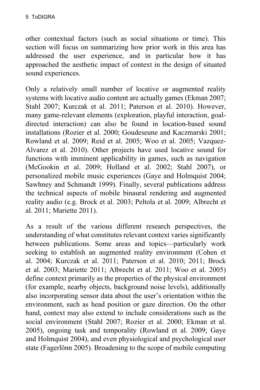other contextual factors (such as social situations or time). This section will focus on summarizing how prior work in this area has addressed the user experience, and in particular how it has approached the aesthetic impact of context in the design of situated sound experiences.

Only a relatively small number of locative or augmented reality systems with locative audio content are actually games (Ekman 2007; Stahl 2007; Kurczak et al. 2011; Paterson et al. 2010). However, many game-relevant elements (exploration, playful interaction, goaldirected interaction) can also be found in location-based sound installations (Rozier et al. 2000; Goudeseune and Kaczmarski 2001; Rowland et al. 2009; Reid et al. 2005; Woo et al. 2005; Vazquez-Alvarez et al. 2010). Other projects have used locative sound for functions with imminent applicability in games, such as navigation (McGookin et al. 2009; Holland et al. 2002; Stahl 2007), or personalized mobile music experiences (Gaye and Holmquist 2004; Sawhney and Schmandt 1999). Finally, several publications address the technical aspects of mobile binaural rendering and augmented reality audio (e.g. Brock et al. 2003; Peltola et al. 2009; Albrecht et al. 2011; Mariette 2011).

As a result of the various different research perspectives, the understanding of what constitutes relevant context varies significantly between publications. Some areas and topics—particularly work seeking to establish an augmented reality environment (Cohen et al. 2004; Kurczak et al. 2011; Paterson et al. 2010; 2011; Brock et al. 2003; Mariette 2011; Albrecht et al. 2011; Woo et al. 2005) define context primarily as the properties of the physical environment (for example, nearby objects, background noise levels), additionally also incorporating sensor data about the user's orientation within the environment, such as head position or gaze direction. On the other hand, context may also extend to include considerations such as the social environment (Stahl 2007; Rozier et al. 2000; Ekman et al. 2005), ongoing task and temporality (Rowland et al. 2009; Gaye and Holmquist 2004), and even physiological and psychological user state (Fagerlönn 2005). Broadening to the scope of mobile computing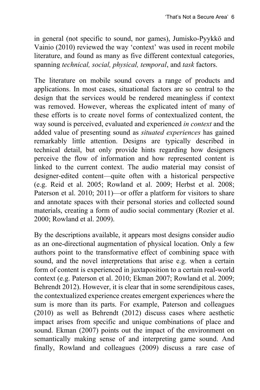in general (not specific to sound, nor games), Jumisko-Pyykkö and Vainio (2010) reviewed the way 'context' was used in recent mobile literature, and found as many as five different contextual categories, spanning *technical, social, physical, temporal*, and *task* factors.

The literature on mobile sound covers a range of products and applications. In most cases, situational factors are so central to the design that the services would be rendered meaningless if context was removed. However, whereas the explicated intent of many of these efforts is to create novel forms of contextualized content, the way sound is perceived, evaluated and experienced *in context* and the added value of presenting sound as *situated experiences* has gained remarkably little attention. Designs are typically described in technical detail, but only provide hints regarding how designers perceive the flow of information and how represented content is linked to the current context. The audio material may consist of designer-edited content—quite often with a historical perspective (e.g. Reid et al. 2005; Rowland et al. 2009; Herbst et al. 2008; Paterson et al. 2010; 2011)—or offer a platform for visitors to share and annotate spaces with their personal stories and collected sound materials, creating a form of audio social commentary (Rozier et al. 2000; Rowland et al. 2009).

By the descriptions available, it appears most designs consider audio as an one-directional augmentation of physical location. Only a few authors point to the transformative effect of combining space with sound, and the novel interpretations that arise e.g. when a certain form of content is experienced in juxtaposition to a certain real-world context (e.g. Paterson et al. 2010; Ekman 2007; Rowland et al. 2009; Behrendt 2012). However, it is clear that in some serendipitous cases, the contextualized experience creates emergent experiences where the sum is more than its parts. For example, Paterson and colleagues (2010) as well as Behrendt (2012) discuss cases where aesthetic impact arises from specific and unique combinations of place and sound. Ekman (2007) points out the impact of the environment on semantically making sense of and interpreting game sound. And finally, Rowland and colleagues (2009) discuss a rare case of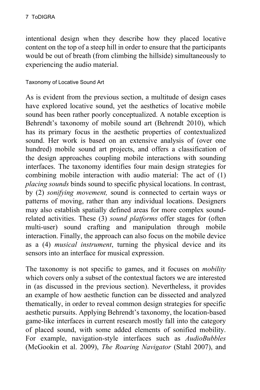intentional design when they describe how they placed locative content on the top of a steep hill in order to ensure that the participants would be out of breath (from climbing the hillside) simultaneously to experiencing the audio material.

#### Taxonomy of Locative Sound Art

As is evident from the previous section, a multitude of design cases have explored locative sound, yet the aesthetics of locative mobile sound has been rather poorly conceptualized. A notable exception is Behrendt's taxonomy of mobile sound art (Behrendt 2010), which has its primary focus in the aesthetic properties of contextualized sound. Her work is based on an extensive analysis of (over one hundred) mobile sound art projects, and offers a classification of the design approaches coupling mobile interactions with sounding interfaces. The taxonomy identifies four main design strategies for combining mobile interaction with audio material: The act of (1) *placing sounds* binds sound to specific physical locations. In contrast, by (2) *sonifying movement,* sound is connected to certain ways or patterns of moving, rather than any individual locations. Designers may also establish spatially defined areas for more complex soundrelated activities. These (3) *sound platforms* offer stages for (often multi-user) sound crafting and manipulation through mobile interaction. Finally, the approach can also focus on the mobile device as a (4) *musical instrument*, turning the physical device and its sensors into an interface for musical expression.

The taxonomy is not specific to games, and it focuses on *mobility* which covers only a subset of the contextual factors we are interested in (as discussed in the previous section). Nevertheless, it provides an example of how aesthetic function can be dissected and analyzed thematically, in order to reveal common design strategies for specific aesthetic pursuits. Applying Behrendt's taxonomy, the location-based game-like interfaces in current research mostly fall into the category of placed sound, with some added elements of sonified mobility. For example, navigation-style interfaces such as *AudioBubbles* (McGookin et al. 2009), *The Roaring Navigator* (Stahl 2007), and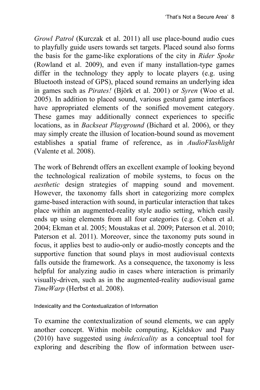*Growl Patrol* (Kurczak et al. 2011) all use place-bound audio cues to playfully guide users towards set targets. Placed sound also forms the basis for the game-like explorations of the city in *Rider Spoke* (Rowland et al. 2009), and even if many installation-type games differ in the technology they apply to locate players (e.g. using Bluetooth instead of GPS), placed sound remains an underlying idea in games such as *Pirates!* (Björk et al. 2001) or *Syren* (Woo et al. 2005). In addition to placed sound, various gestural game interfaces have appropriated elements of the sonified movement category. These games may additionally connect experiences to specific locations, as in *Backseat Playground* (Bichard et al. 2006), or they may simply create the illusion of location-bound sound as movement establishes a spatial frame of reference, as in *AudioFlashlight* (Valente et al. 2008).

The work of Behrendt offers an excellent example of looking beyond the technological realization of mobile systems, to focus on the *aesthetic* design strategies of mapping sound and movement. However, the taxonomy falls short in categorizing more complex game-based interaction with sound, in particular interaction that takes place within an augmented-reality style audio setting, which easily ends up using elements from all four categories (e.g. Cohen et al. 2004; Ekman et al. 2005; Moustakas et al. 2009; Paterson et al. 2010; Paterson et al. 2011). Moreover, since the taxonomy puts sound in focus, it applies best to audio-only or audio-mostly concepts and the supportive function that sound plays in most audiovisual contexts falls outside the framework. As a consequence, the taxonomy is less helpful for analyzing audio in cases where interaction is primarily visually-driven, such as in the augmented-reality audiovisual game *TimeWarp* (Herbst et al. 2008).

Indexicality and the Contextualization of Information

To examine the contextualization of sound elements, we can apply another concept. Within mobile computing, Kjeldskov and Paay (2010) have suggested using *indexicality* as a conceptual tool for exploring and describing the flow of information between user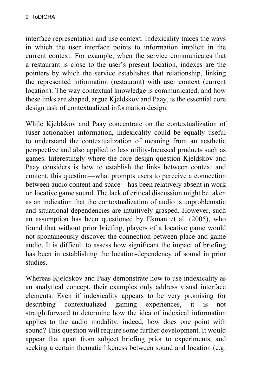interface representation and use context. Indexicality traces the ways in which the user interface points to information implicit in the current context. For example, when the service communicates that a restaurant is close to the user's present location, indexes are the pointers by which the service establishes that relationship, linking the represented information (restaurant) with user context (current location). The way contextual knowledge is communicated, and how these links are shaped, argue Kjeldskov and Paay, is the essential core design task of contextualized information design.

While Kjeldskov and Paay concentrate on the contextualization of (user-actionable) information, indexicality could be equally useful to understand the contextualization of meaning from an aesthetic perspective and also applied to less utility-focussed products such as games. Interestingly where the core design question Kjeldskov and Paay considers is how to establish the links between context and content, this question—what prompts users to perceive a connection between audio content and space—has been relatively absent in work on locative game sound. The lack of critical discussion might be taken as an indication that the contextualization of audio is unproblematic and situational dependencies are intuitively grasped. However, such an assumption has been questioned by Ekman et al. (2005), who found that without prior briefing, players of a locative game would not spontaneously discover the connection between place and game audio. It is difficult to assess how significant the impact of briefing has been in establishing the location-dependency of sound in prior studies.

Whereas Kjeldskov and Paay demonstrate how to use indexicality as an analytical concept, their examples only address visual interface elements. Even if indexicality appears to be very promising for describing contextualized gaming experiences, it is not straightforward to determine how the idea of indexical information applies to the audio modality; indeed, how does one point with sound? This question will require some further development. It would appear that apart from subject briefing prior to experiments, and seeking a certain thematic likeness between sound and location (e.g.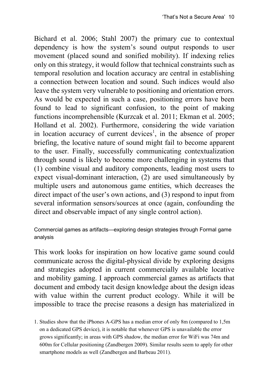Bichard et al. 2006; Stahl 2007) the primary cue to contextual dependency is how the system's sound output responds to user movement (placed sound and sonified mobility). If indexing relies only on this strategy, it would follow that technical constraints such as temporal resolution and location accuracy are central in establishing a connection between location and sound. Such indices would also leave the system very vulnerable to positioning and orientation errors. As would be expected in such a case, positioning errors have been found to lead to significant confusion, to the point of making functions incomprehensible (Kurzcak et al. 2011; Ekman et al. 2005; Holland et al. 2002). Furthermore, considering the wide variation in location accuracy of current devices<sup>1</sup>, in the absence of proper briefing, the locative nature of sound might fail to become apparent to the user. Finally, successfully communicating contextualization through sound is likely to become more challenging in systems that (1) combine visual and auditory components, leading most users to expect visual-dominant interaction, (2) are used simultaneously by multiple users and autonomous game entities, which decreases the direct impact of the user's own actions, and (3) respond to input from several information sensors/sources at once (again, confounding the direct and observable impact of any single control action).

Commercial games as artifacts—exploring design strategies through Formal game analysis

This work looks for inspiration on how locative game sound could communicate across the digital-physical divide by exploring designs and strategies adopted in current commercially available locative and mobility gaming. I approach commercial games as artifacts that document and embody tacit design knowledge about the design ideas with value within the current product ecology. While it will be impossible to trace the precise reasons a design has materialized in

1. Studies show that the iPhones A-GPS has a median error of only 8m (compared to 1,5m on a dedicated GPS device), it is notable that whenever GPS is unavailable the error grows significantly; in areas with GPS shadow, the median error for WiFi was 74m and 600m for Cellular positioning (Zandbergen 2009). Similar results seem to apply for other smartphone models as well (Zandbergen and Barbeau 2011).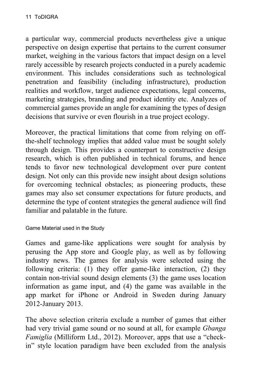a particular way, commercial products nevertheless give a unique perspective on design expertise that pertains to the current consumer market, weighing in the various factors that impact design on a level rarely accessible by research projects conducted in a purely academic environment. This includes considerations such as technological penetration and feasibility (including infrastructure), production realities and workflow, target audience expectations, legal concerns, marketing strategies, branding and product identity etc. Analyzes of commercial games provide an angle for examining the types of design decisions that survive or even flourish in a true project ecology.

Moreover, the practical limitations that come from relying on offthe-shelf technology implies that added value must be sought solely through design. This provides a counterpart to constructive design research, which is often published in technical forums, and hence tends to favor new technological development over pure content design. Not only can this provide new insight about design solutions for overcoming technical obstacles; as pioneering products, these games may also set consumer expectations for future products, and determine the type of content strategies the general audience will find familiar and palatable in the future.

Game Material used in the Study

Games and game-like applications were sought for analysis by perusing the App store and Google play, as well as by following industry news. The games for analysis were selected using the following criteria: (1) they offer game-like interaction, (2) they contain non-trivial sound design elements (3) the game uses location information as game input, and (4) the game was available in the app market for iPhone or Android in Sweden during January 2012-January 2013.

The above selection criteria exclude a number of games that either had very trivial game sound or no sound at all, for example *Gbanga Famiglia* (Milliform Ltd., 2012). Moreover, apps that use a "checkin" style location paradigm have been excluded from the analysis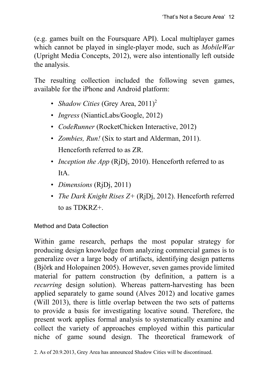(e.g. games built on the Foursquare API). Local multiplayer games which cannot be played in single-player mode, such as *MobileWar* (Upright Media Concepts, 2012), were also intentionally left outside the analysis.

The resulting collection included the following seven games, available for the iPhone and Android platform:

- *Shadow Cities* (Grey Area, 2011)<sup>2</sup>
- *Ingress* (NianticLabs/Google, 2012)
- *CodeRunner* (RocketChicken Interactive, 2012)
- *Zombies, Run!* (Six to start and Alderman, 2011). Henceforth referred to as ZR.
- *Inception the App* (R<sub>j</sub>D<sub>j</sub>, 2010). Henceforth referred to as ItA.
- *Dimensions* (RjDj, 2011)
- *The Dark Knight Rises Z+* (RjDj, 2012). Henceforth referred to as TDKRZ+.

Method and Data Collection

Within game research, perhaps the most popular strategy for producing design knowledge from analyzing commercial games is to generalize over a large body of artifacts, identifying design patterns (Björk and Holopainen 2005). However, seven games provide limited material for pattern construction (by definition, a pattern is a *recurring* design solution). Whereas pattern-harvesting has been applied separately to game sound (Alves 2012) and locative games (Will 2013), there is little overlap between the two sets of patterns to provide a basis for investigating locative sound. Therefore, the present work applies formal analysis to systematically examine and collect the variety of approaches employed within this particular niche of game sound design. The theoretical framework of

<sup>2.</sup> As of 20.9.2013, Grey Area has announced Shadow Cities will be discontinued.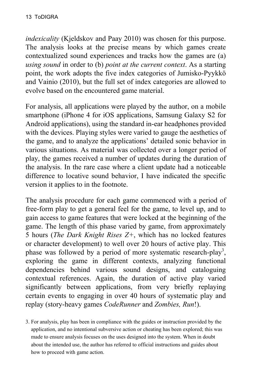*indexicality* (Kjeldskov and Paay 2010) was chosen for this purpose. The analysis looks at the precise means by which games create contextualized sound experiences and tracks how the games are (a) *using sound* in order to (b) *point at the current context*. As a starting point, the work adopts the five index categories of Jumisko-Pyykkö and Vainio (2010), but the full set of index categories are allowed to evolve based on the encountered game material.

For analysis, all applications were played by the author, on a mobile smartphone (iPhone 4 for iOS applications, Samsung Galaxy S2 for Android applications), using the standard in-ear headphones provided with the devices. Playing styles were varied to gauge the aesthetics of the game, and to analyze the applications' detailed sonic behavior in various situations. As material was collected over a longer period of play, the games received a number of updates during the duration of the analysis. In the rare case where a client update had a noticeable difference to locative sound behavior, I have indicated the specific version it applies to in the footnote.

The analysis procedure for each game commenced with a period of free-form play to get a general feel for the game, to level up, and to gain access to game features that were locked at the beginning of the game. The length of this phase varied by game, from approximately 5 hours (*The Dark Knight Rises Z+*, which has no locked features or character development) to well over 20 hours of active play. This phase was followed by a period of more systematic research-play<sup>3</sup>, exploring the game in different contexts, analyzing functional dependencies behind various sound designs, and cataloguing contextual references. Again, the duration of active play varied significantly between applications, from very briefly replaying certain events to engaging in over 40 hours of systematic play and replay (story-heavy games *CodeRunner* and *Zombies, Run*!).

3. For analysis, play has been in compliance with the guides or instruction provided by the application, and no intentional subversive action or cheating has been explored; this was made to ensure analysis focuses on the uses designed into the system. When in doubt about the intended use, the author has referred to official instructions and guides about how to proceed with game action.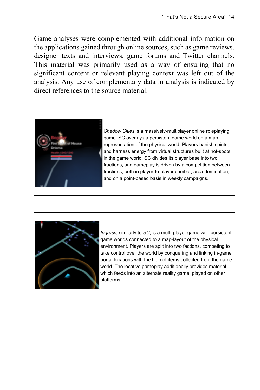Game analyses were complemented with additional information on the applications gained through online sources, such as game reviews, designer texts and interviews, game forums and Twitter channels. This material was primarily used as a way of ensuring that no significant content or relevant playing context was left out of the analysis. Any use of complementary data in analysis is indicated by direct references to the source material.



*Shadow Cities* is a massively-multiplayer online roleplaying game. SC overlays a persistent game world on a map representation of the physical world. Players banish spirits, and harness energy from virtual structures built at hot-spots in the game world. SC divides its player base into two fractions, and gameplay is driven by a competition between fractions, both in player-to-player combat, area domination, and on a point-based basis in weekly campaigns.



*Ingress,* similarly to *SC*, is a multi-player game with persistent game worlds connected to a map-layout of the physical environment. Players are split into two factions, competing to take control over the world by conquering and linking in-game portal locations with the help of items collected from the game world. The locative gameplay additionally provides material which feeds into an alternate reality game, played on other platforms.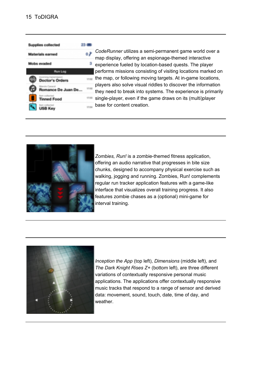**Supplies collected** 



23 CB

€ ه

mar

17:53

 $12.64$ 

*CodeRunner* utilizes a semi-permanent game world over a map display, offering an espionage-themed interactive experience fueled by location-based quests. The player performs missions consisting of visiting locations marked on the map, or following moving targets. At in-game locations, players also solve visual riddles to discover the information they need to break into systems. The experience is primarily single-player, even if the game draws on its (multi)player base for content creation.



*Zombies, Run!* is a zombie-themed fitness application, offering an audio narrative that progresses in bite size chunks, designed to accompany physical exercise such as walking, jogging and running. Zombies, Run! complements regular run tracker application features with a game-like interface that visualizes overall training progress. It also features zombie chases as a (optional) mini-game for interval training.



*Inception the App* (top left), *Dimensions* (middle left), and *The Dark Knight Rises Z+* (bottom left), are three different variations of contextually responsive personal music applications. The applications offer contextually responsive music tracks that respond to a range of sensor and derived data: movement, sound, touch, date, time of day, and weather.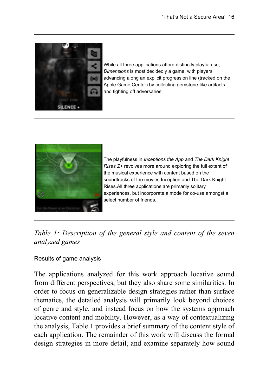

While all three applications afford distinctly playful use, *Dimensions* is most decidedly a game, with players advancing along an explicit progression line (tracked on the Apple Game Center) by collecting gemstone-like artifacts and fighting off adversaries.



The playfulness in *Inceptions the App* and *The Dark Knight Rises Z+* revolves more around exploring the full extent of the musical experience with content based on the soundtracks of the movies Inception and The Dark Knight Rises.All three applications are primarily solitary experiences, but incorporate a mode for co-use amongst a select number of friends.

*Table 1: Description of the general style and content of the seven analyzed games*

Results of game analysis

The applications analyzed for this work approach locative sound from different perspectives, but they also share some similarities. In order to focus on generalizable design strategies rather than surface thematics, the detailed analysis will primarily look beyond choices of genre and style, and instead focus on how the systems approach locative content and mobility. However, as a way of contextualizing the analysis, Table 1 provides a brief summary of the content style of each application. The remainder of this work will discuss the formal design strategies in more detail, and examine separately how sound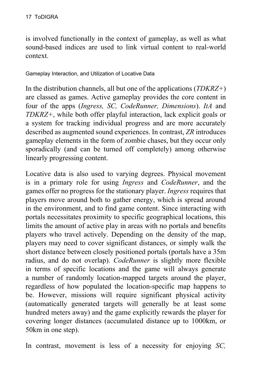is involved functionally in the context of gameplay, as well as what sound-based indices are used to link virtual content to real-world context.

Gameplay Interaction, and Utilization of Locative Data

In the distribution channels, all but one of the applications (*TDKRZ+*) are classed as games. Active gameplay provides the core content in four of the apps (*Ingress, SC, CodeRunner, Dimensions*). *ItA* and *TDKRZ+*, while both offer playful interaction, lack explicit goals or a system for tracking individual progress and are more accurately described as augmented sound experiences. In contrast, *ZR* introduces gameplay elements in the form of zombie chases, but they occur only sporadically (and can be turned off completely) among otherwise linearly progressing content.

Locative data is also used to varying degrees. Physical movement is in a primary role for using *Ingress* and *CodeRunner*, and the games offer no progress for the stationary player. *Ingress* requires that players move around both to gather energy, which is spread around in the environment, and to find game content. Since interacting with portals necessitates proximity to specific geographical locations, this limits the amount of active play in areas with no portals and benefits players who travel actively. Depending on the density of the map, players may need to cover significant distances, or simply walk the short distance between closely positioned portals (portals have a 35m radius, and do not overlap). *CodeRunner* is slightly more flexible in terms of specific locations and the game will always generate a number of randomly location-mapped targets around the player, regardless of how populated the location-specific map happens to be. However, missions will require significant physical activity (automatically generated targets will generally be at least some hundred meters away) and the game explicitly rewards the player for covering longer distances (accumulated distance up to 1000km, or 50km in one step).

In contrast, movement is less of a necessity for enjoying *SC,*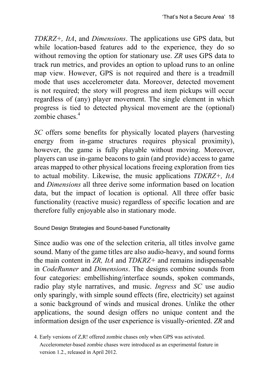*TDKRZ+, ItA*, and *Dimensions*. The applications use GPS data, but while location-based features add to the experience, they do so without removing the option for stationary use. *ZR* uses GPS data to track run metrics, and provides an option to upload runs to an online map view. However, GPS is not required and there is a treadmill mode that uses accelerometer data. Moreover, detected movement is not required; the story will progress and item pickups will occur regardless of (any) player movement. The single element in which progress is tied to detected physical movement are the (optional) zombie chases<sup>4</sup>

*SC* offers some benefits for physically located players (harvesting energy from in-game structures requires physical proximity), however, the game is fully playable without moving. Moreover, players can use in-game beacons to gain (and provide) access to game areas mapped to other physical locations freeing exploration from ties to actual mobility. Likewise, the music applications *TDKRZ+, ItA* and *Dimensions* all three derive some information based on location data, but the impact of location is optional. All three offer basic functionality (reactive music) regardless of specific location and are therefore fully enjoyable also in stationary mode.

Sound Design Strategies and Sound-based Functionality

Since audio was one of the selection criteria, all titles involve game sound. Many of the game titles are also audio-heavy, and sound forms the main content in *ZR, ItA* and *TDKRZ+* and remains indispensable in *CodeRunner* and *Dimensions*. The designs combine sounds from four categories: embellishing/interface sounds, spoken commands, radio play style narratives, and music. *Ingress* and *SC* use audio only sparingly, with simple sound effects (fire, electricity) set against a sonic background of winds and musical drones. Unlike the other applications, the sound design offers no unique content and the information design of the user experience is visually-oriented. *ZR* and

<sup>4.</sup> Early versions of Z,R! offered zombie chases only when GPS was activated. Accelerometer-based zombie chases were introduced as an experimental feature in version 1.2., released in April 2012.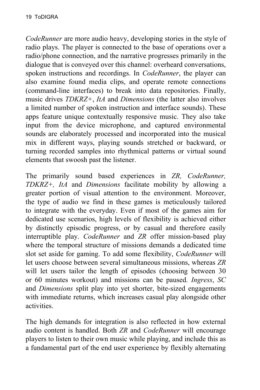*CodeRunner* are more audio heavy, developing stories in the style of radio plays. The player is connected to the base of operations over a radio/phone connection, and the narrative progresses primarily in the dialogue that is conveyed over this channel: overheard conversations, spoken instructions and recordings. In *CodeRunner*, the player can also examine found media clips, and operate remote connections (command-line interfaces) to break into data repositories. Finally, music drives *TDKRZ+*, *ItA* and *Dimensions* (the latter also involves a limited number of spoken instruction and interface sounds). These apps feature unique contextually responsive music. They also take input from the device microphone, and captured environmental sounds are elaborately processed and incorporated into the musical mix in different ways, playing sounds stretched or backward, or turning recorded samples into rhythmical patterns or virtual sound elements that swoosh past the listener.

The primarily sound based experiences in *ZR, CodeRunner, TDKRZ+, ItA* and *Dimensions* facilitate mobility by allowing a greater portion of visual attention to the environment. Moreover, the type of audio we find in these games is meticulously tailored to integrate with the everyday. Even if most of the games aim for dedicated use scenarios, high levels of flexibility is achieved either by distinctly episodic progress, or by casual and therefore easily interruptible play. *CodeRunner* and *ZR* offer mission-based play where the temporal structure of missions demands a dedicated time slot set aside for gaming. To add some flexibility, *CodeRunner* will let users choose between several simultaneous missions, whereas *ZR* will let users tailor the length of episodes (choosing between 30 or 60 minutes workout) and missions can be paused. *Ingress*, *SC* and *Dimensions* split play into yet shorter, bite-sized engagements with immediate returns, which increases casual play alongside other activities.

The high demands for integration is also reflected in how external audio content is handled. Both *ZR* and *CodeRunner* will encourage players to listen to their own music while playing, and include this as a fundamental part of the end user experience by flexibly alternating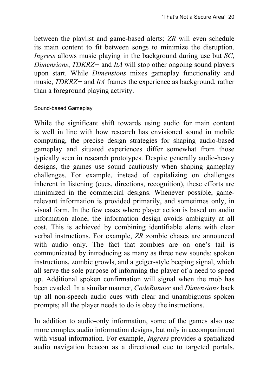between the playlist and game-based alerts; *ZR* will even schedule its main content to fit between songs to minimize the disruption. *Ingress* allows music playing in the background during use but *SC*, *Dimensions*, *TDKRZ+* and *ItA* will stop other ongoing sound players upon start. While *Dimensions* mixes gameplay functionality and music, *TDKRZ+* and *ItA* frames the experience as background, rather than a foreground playing activity.

#### Sound-based Gameplay

While the significant shift towards using audio for main content is well in line with how research has envisioned sound in mobile computing, the precise design strategies for shaping audio-based gameplay and situated experiences differ somewhat from those typically seen in research prototypes. Despite generally audio-heavy designs, the games use sound cautiously when shaping gameplay challenges. For example, instead of capitalizing on challenges inherent in listening (cues, directions, recognition), these efforts are minimized in the commercial designs. Whenever possible, gamerelevant information is provided primarily, and sometimes only, in visual form. In the few cases where player action is based on audio information alone, the information design avoids ambiguity at all cost. This is achieved by combining identifiable alerts with clear verbal instructions. For example, *ZR* zombie chases are announced with audio only. The fact that zombies are on one's tail is communicated by introducing as many as three new sounds: spoken instructions, zombie growls, and a geiger-style beeping signal, which all serve the sole purpose of informing the player of a need to speed up. Additional spoken confirmation will signal when the mob has been evaded. In a similar manner, *CodeRunner* and *Dimensions* back up all non-speech audio cues with clear and unambiguous spoken prompts; all the player needs to do is obey the instructions.

In addition to audio-only information, some of the games also use more complex audio information designs, but only in accompaniment with visual information. For example, *Ingress* provides a spatialized audio navigation beacon as a directional cue to targeted portals.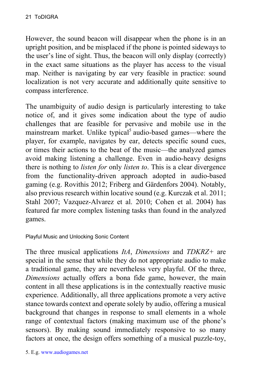However, the sound beacon will disappear when the phone is in an upright position, and be misplaced if the phone is pointed sideways to the user's line of sight. Thus, the beacon will only display (correctly) in the exact same situations as the player has access to the visual map. Neither is navigating by ear very feasible in practice: sound localization is not very accurate and additionally quite sensitive to compass interference.

The unambiguity of audio design is particularly interesting to take notice of, and it gives some indication about the type of audio challenges that are feasible for pervasive and mobile use in the mainstream market. Unlike typical<sup>5</sup> audio-based games—where the player, for example, navigates by ear, detects specific sound cues, or times their actions to the beat of the music—the analyzed games avoid making listening a challenge. Even in audio-heavy designs there is nothing to *listen for* only *listen to*. This is a clear divergence from the functionality-driven approach adopted in audio-based gaming (e.g. Rovithis 2012; Friberg and Gärdenfors 2004). Notably, also previous research within locative sound (e.g. Kurczak et al. 2011; Stahl 2007; Vazquez-Alvarez et al. 2010; Cohen et al. 2004) has featured far more complex listening tasks than found in the analyzed games.

#### Playful Music and Unlocking Sonic Content

The three musical applications *ItA*, *Dimensions* and *TDKRZ+* are special in the sense that while they do not appropriate audio to make a traditional game, they are nevertheless very playful. Of the three, *Dimensions* actually offers a bona fide game, however, the main content in all these applications is in the contextually reactive music experience. Additionally, all three applications promote a very active stance towards context and operate solely by audio, offering a musical background that changes in response to small elements in a whole range of contextual factors (making maximum use of the phone's sensors). By making sound immediately responsive to so many factors at once, the design offers something of a musical puzzle-toy,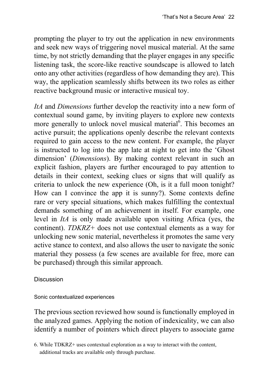prompting the player to try out the application in new environments and seek new ways of triggering novel musical material. At the same time, by not strictly demanding that the player engages in any specific listening task, the score-like reactive soundscape is allowed to latch onto any other activities (regardless of how demanding they are). This way, the application seamlessly shifts between its two roles as either reactive background music or interactive musical toy.

*ItA* and *Dimensions* further develop the reactivity into a new form of contextual sound game, by inviting players to explore new contexts more generally to unlock novel musical material<sup>6</sup>. This becomes an active pursuit; the applications openly describe the relevant contexts required to gain access to the new content. For example, the player is instructed to log into the app late at night to get into the 'Ghost dimension' (*Dimensions*). By making context relevant in such an explicit fashion, players are further encouraged to pay attention to details in their context, seeking clues or signs that will qualify as criteria to unlock the new experience (Oh, is it a full moon tonight? How can I convince the app it is sunny?). Some contexts define rare or very special situations, which makes fulfilling the contextual demands something of an achievement in itself. For example, one level in *ItA* is only made available upon visiting Africa (yes, the continent). *TDKRZ+* does not use contextual elements as a way for unlocking new sonic material, nevertheless it promotes the same very active stance to context, and also allows the user to navigate the sonic material they possess (a few scenes are available for free, more can be purchased) through this similar approach.

#### **Discussion**

Sonic contextualized experiences

The previous section reviewed how sound is functionally employed in the analyzed games. Applying the notion of indexicality, we can also identify a number of pointers which direct players to associate game

<sup>6.</sup> While TDKRZ+ uses contextual exploration as a way to interact with the content, additional tracks are available only through purchase.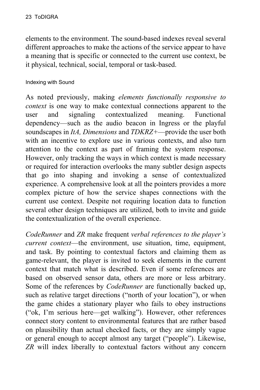elements to the environment. The sound-based indexes reveal several different approaches to make the actions of the service appear to have a meaning that is specific or connected to the current use context, be it physical, technical, social, temporal or task-based.

Indexing with Sound

As noted previously, making *elements functionally responsive to context* is one way to make contextual connections apparent to the user and signaling contextualized meaning. Functional dependency—such as the audio beacon in Ingress or the playful soundscapes in *ItA, Dimensions* and *TDKRZ+*—provide the user both with an incentive to explore use in various contexts, and also turn attention to the context as part of framing the system response. However, only tracking the ways in which context is made necessary or required for interaction overlooks the many subtler design aspects that go into shaping and invoking a sense of contextualized experience. A comprehensive look at all the pointers provides a more complex picture of how the service shapes connections with the current use context. Despite not requiring location data to function several other design techniques are utilized, both to invite and guide the contextualization of the overall experience.

*CodeRunner* and *ZR* make frequent *verbal references to the player's current context*—the environment, use situation, time, equipment, and task. By pointing to contextual factors and claiming them as game-relevant, the player is invited to seek elements in the current context that match what is described. Even if some references are based on observed sensor data, others are more or less arbitrary. Some of the references by *CodeRunner* are functionally backed up, such as relative target directions ("north of your location"), or when the game chides a stationary player who fails to obey instructions ("ok, I'm serious here—get walking"). However, other references connect story content to environmental features that are rather based on plausibility than actual checked facts, or they are simply vague or general enough to accept almost any target ("people"). Likewise, *ZR* will index liberally to contextual factors without any concern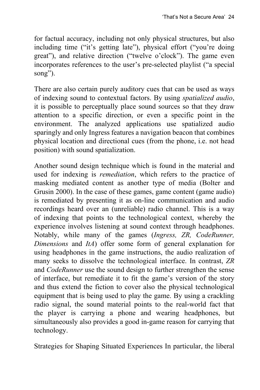for factual accuracy, including not only physical structures, but also including time ("it's getting late"), physical effort ("you're doing great"), and relative direction ("twelve o'clock"). The game even incorporates references to the user's pre-selected playlist ("a special song").

There are also certain purely auditory cues that can be used as ways of indexing sound to contextual factors. By using *spatialized audio*, it is possible to perceptually place sound sources so that they draw attention to a specific direction, or even a specific point in the environment. The analyzed applications use spatialized audio sparingly and only Ingress features a navigation beacon that combines physical location and directional cues (from the phone, i.e. not head position) with sound spatialization.

Another sound design technique which is found in the material and used for indexing is *remediation*, which refers to the practice of masking mediated content as another type of media (Bolter and Grusin 2000). In the case of these games, game content (game audio) is remediated by presenting it as on-line communication and audio recordings heard over an (unreliable) radio channel. This is a way of indexing that points to the technological context, whereby the experience involves listening at sound context through headphones. Notably, while many of the games (*Ingress, ZR, CodeRunner, Dimensions* and *ItA*) offer some form of general explanation for using headphones in the game instructions, the audio realization of many seeks to dissolve the technological interface. In contrast, *ZR* and *CodeRunner* use the sound design to further strengthen the sense of interface, but remediate it to fit the game's version of the story and thus extend the fiction to cover also the physical technological equipment that is being used to play the game. By using a crackling radio signal, the sound material points to the real-world fact that the player is carrying a phone and wearing headphones, but simultaneously also provides a good in-game reason for carrying that technology.

Strategies for Shaping Situated Experiences In particular, the liberal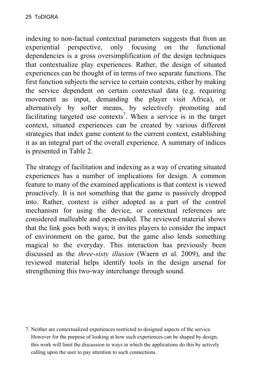indexing to non-factual contextual parameters suggests that from an experiential perspective, only focusing on the functional dependencies is a gross oversimplification of the design techniques that contextualize play experiences. Rather, the design of situated experiences can be thought of in terms of two separate functions. The first function subjects the service to certain contexts, either by making the service dependent on certain contextual data (e.g. requiring movement as input, demanding the player visit Africa), or alternatively by softer means, by selectively promoting and facilitating targeted use contexts<sup>7</sup>. When a service is in the target context, situated experiences can be created by various different strategies that index game content to the current context, establishing it as an integral part of the overall experience. A summary of indices is presented in Table 2.

The strategy of facilitation and indexing as a way of creating situated experiences has a number of implications for design. A common feature to many of the examined applications is that context is viewed proactively. It is not something that the game is passively dropped into. Rather, context is either adopted as a part of the control mechanism for using the device, or contextual references are considered malleable and open-ended. The reviewed material shows that the link goes both ways; it invites players to consider the impact of environment on the game, but the game also lends something magical to the everyday. This interaction has previously been discussed as the *three-sixty illusion* (Waern et al. 2009), and the reviewed material helps identify tools in the design arsenal for strengthening this two-way interchange through sound.

7. Neither are contextualized experiences restricted to designed aspects of the service. However for the purpose of looking at how such experiences can be shaped by design, this work will limit the discussion to ways in which the applications do this by actively calling upon the user to pay attention to such connections.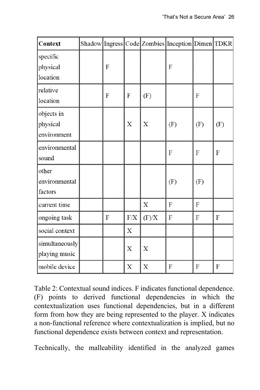| <b>Context</b>                        |   |             |             | Shadow Ingress Code Zombies Inception Dimen TDKR |     |     |
|---------------------------------------|---|-------------|-------------|--------------------------------------------------|-----|-----|
| specific<br>physical<br>location      | F |             |             | F                                                |     |     |
| relative<br>location                  | F | F           | (F)         |                                                  | F   |     |
| objects in<br>physical<br>environment |   | X           | $\mathbf X$ | (F)                                              | (F) | (F) |
| environmental<br>sound                |   |             |             | F                                                | F   | F   |
| other<br>environmental<br>factors     |   |             |             | (F)                                              | (F) |     |
| current time                          |   |             | X           | F                                                | F   |     |
| ongoing task                          | F | $\rm F/X$   | (F)/X       | F                                                | F   | F   |
| social context                        |   | $\mathbf X$ |             |                                                  |     |     |
| simultaneously<br>playing music       |   | X           | X           |                                                  |     |     |
| mobile device                         |   | X           | $\mathbf X$ | F                                                | F   | F   |

Table 2: Contextual sound indices. F indicates functional dependence. (F) points to derived functional dependencies in which the contextualization uses functional dependencies, but in a different form from how they are being represented to the player. X indicates a non-functional reference where contextualization is implied, but no functional dependence exists between context and representation.

Technically, the malleability identified in the analyzed games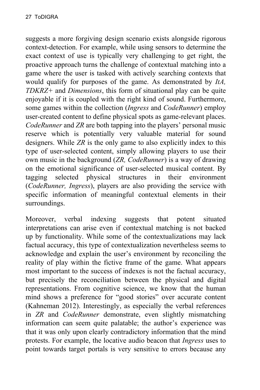suggests a more forgiving design scenario exists alongside rigorous context-detection. For example, while using sensors to determine the exact context of use is typically very challenging to get right, the proactive approach turns the challenge of contextual matching into a game where the user is tasked with actively searching contexts that would qualify for purposes of the game. As demonstrated by *ItA, TDKRZ+* and *Dimensions*, this form of situational play can be quite enjoyable if it is coupled with the right kind of sound. Furthermore, some games within the collection (*Ingress* and *CodeRunner*) employ user-created content to define physical spots as game-relevant places. *CodeRunner* and *ZR* are both tapping into the players' personal music reserve which is potentially very valuable material for sound designers. While *ZR* is the only game to also explicitly index to this type of user-selected content, simply allowing players to use their own music in the background (*ZR, CodeRunner*) is a way of drawing on the emotional significance of user-selected musical content. By tagging selected physical structures in their environment (*CodeRunner, Ingress*), players are also providing the service with specific information of meaningful contextual elements in their surroundings.

Moreover, verbal indexing suggests that potent situated interpretations can arise even if contextual matching is not backed up by functionality. While some of the contextualizations may lack factual accuracy, this type of contextualization nevertheless seems to acknowledge and explain the user's environment by reconciling the reality of play within the fictive frame of the game. What appears most important to the success of indexes is not the factual accuracy, but precisely the reconciliation between the physical and digital representations. From cognitive science, we know that the human mind shows a preference for "good stories" over accurate content (Kahneman 2012). Interestingly, as especially the verbal references in *ZR* and *CodeRunner* demonstrate, even slightly mismatching information can seem quite palatable; the author's experience was that it was only upon clearly contradictory information that the mind protests. For example, the locative audio beacon that *Ingress* uses to point towards target portals is very sensitive to errors because any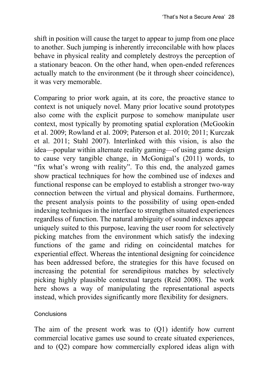shift in position will cause the target to appear to jump from one place to another. Such jumping is inherently irreconcilable with how places behave in physical reality and completely destroys the perception of a stationary beacon. On the other hand, when open-ended references actually match to the environment (be it through sheer coincidence), it was very memorable.

Comparing to prior work again, at its core, the proactive stance to context is not uniquely novel. Many prior locative sound prototypes also come with the explicit purpose to somehow manipulate user context, most typically by promoting spatial exploration (McGookin et al. 2009; Rowland et al. 2009; Paterson et al. 2010; 2011; Kurczak et al. 2011; Stahl 2007). Interlinked with this vision, is also the idea—popular within alternate reality gaming—of using game design to cause very tangible change, in McGonigal's (2011) words, to "fix what's wrong with reality". To this end, the analyzed games show practical techniques for how the combined use of indexes and functional response can be employed to establish a stronger two-way connection between the virtual and physical domains. Furthermore, the present analysis points to the possibility of using open-ended indexing techniques in the interface to strengthen situated experiences regardless of function. The natural ambiguity of sound indexes appear uniquely suited to this purpose, leaving the user room for selectively picking matches from the environment which satisfy the indexing functions of the game and riding on coincidental matches for experiential effect. Whereas the intentional designing for coincidence has been addressed before, the strategies for this have focused on increasing the potential for serendipitous matches by selectively picking highly plausible contextual targets (Reid 2008). The work here shows a way of manipulating the representational aspects instead, which provides significantly more flexibility for designers.

#### **Conclusions**

The aim of the present work was to (Q1) identify how current commercial locative games use sound to create situated experiences, and to (Q2) compare how commercially explored ideas align with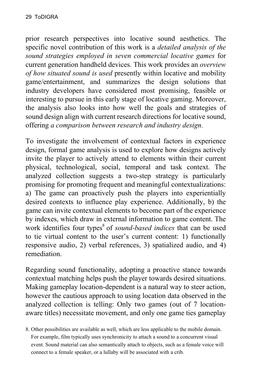prior research perspectives into locative sound aesthetics. The specific novel contribution of this work is a *detailed analysis of the sound strategies employed in seven commercial locative games* for current generation handheld devices. This work provides an *overview of how situated sound is used* presently within locative and mobility game/entertainment, and summarizes the design solutions that industry developers have considered most promising, feasible or interesting to pursue in this early stage of locative gaming. Moreover, the analysis also looks into how well the goals and strategies of sound design align with current research directions for locative sound, offering *a comparison between research and industry design.*

To investigate the involvement of contextual factors in experience design, formal game analysis is used to explore how designs actively invite the player to actively attend to elements within their current physical, technological, social, temporal and task context. The analyzed collection suggests a two-step strategy is particularly promising for promoting frequent and meaningful contextualizations: a) The game can proactively push the players into experientially desired contexts to influence play experience. Additionally, b) the game can invite contextual elements to become part of the experience by indexes, which draw in external information to game content. The work identifies four types<sup>8</sup> of *sound-based indices* that can be used to tie virtual content to the user's current content: 1) functionally responsive audio, 2) verbal references, 3) spatialized audio, and 4) remediation.

Regarding sound functionality, adopting a proactive stance towards contextual matching helps push the player towards desired situations. Making gameplay location-dependent is a natural way to steer action, however the cautious approach to using location data observed in the analyzed collection is telling: Only two games (out of 7 locationaware titles) necessitate movement, and only one game ties gameplay

8. Other possibilities are available as well, which are less applicable to the mobile domain. For example, film typically uses synchronicity to attach a sound to a concurrent visual event. Sound material can also semantically attach to objects, such as a female voice will connect to a female speaker, or a lullaby will be associated with a crib.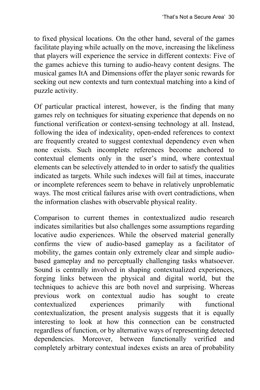to fixed physical locations. On the other hand, several of the games facilitate playing while actually on the move, increasing the likeliness that players will experience the service in different contexts: Five of the games achieve this turning to audio-heavy content designs. The musical games ItA and Dimensions offer the player sonic rewards for seeking out new contexts and turn contextual matching into a kind of puzzle activity.

Of particular practical interest, however, is the finding that many games rely on techniques for situating experience that depends on no functional verification or context-sensing technology at all. Instead, following the idea of indexicality, open-ended references to context are frequently created to suggest contextual dependency even when none exists. Such incomplete references become anchored to contextual elements only in the user's mind, where contextual elements can be selectively attended to in order to satisfy the qualities indicated as targets. While such indexes will fail at times, inaccurate or incomplete references seem to behave in relatively unproblematic ways. The most critical failures arise with overt contradictions, when the information clashes with observable physical reality.

Comparison to current themes in contextualized audio research indicates similarities but also challenges some assumptions regarding locative audio experiences. While the observed material generally confirms the view of audio-based gameplay as a facilitator of mobility, the games contain only extremely clear and simple audiobased gameplay and no perceptually challenging tasks whatsoever. Sound is centrally involved in shaping contextualized experiences, forging links between the physical and digital world, but the techniques to achieve this are both novel and surprising. Whereas previous work on contextual audio has sought to create contextualized experiences primarily with functional contextualization, the present analysis suggests that it is equally interesting to look at how this connection can be constructed regardless of function, or by alternative ways of representing detected dependencies. Moreover, between functionally verified and completely arbitrary contextual indexes exists an area of probability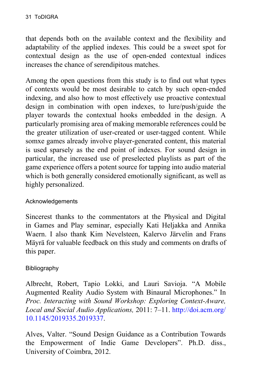that depends both on the available context and the flexibility and adaptability of the applied indexes. This could be a sweet spot for contextual design as the use of open-ended contextual indices increases the chance of serendipitous matches.

Among the open questions from this study is to find out what types of contexts would be most desirable to catch by such open-ended indexing, and also how to most effectively use proactive contextual design in combination with open indexes, to lure/push/guide the player towards the contextual hooks embedded in the design. A particularly promising area of making memorable references could be the greater utilization of user-created or user-tagged content. While somxe games already involve player-generated content, this material is used sparsely as the end point of indexes. For sound design in particular, the increased use of preselected playlists as part of the game experience offers a potent source for tapping into audio material which is both generally considered emotionally significant, as well as highly personalized.

#### Acknowledgements

Sincerest thanks to the commentators at the Physical and Digital in Games and Play seminar, especially Kati Heljakka and Annika Waern. I also thank Kim Nevelsteen, Kalervo Järvelin and Frans Mäyrä for valuable feedback on this study and comments on drafts of this paper.

#### Bibliography

Albrecht, Robert, Tapio Lokki, and Lauri Savioja. "A Mobile Augmented Reality Audio System with Binaural Microphones." In *Proc. Interacting with Sound Workshop: Exploring Context-Aware, Local and Social Audio Applications,* 2011: 7–11. [http://doi.acm.org/](http://doi.acm.org/10.1145/2019335.2019337) [10.1145/2019335.2019337.](http://doi.acm.org/10.1145/2019335.2019337)

Alves, Valter. "Sound Design Guidance as a Contribution Towards the Empowerment of Indie Game Developers". Ph.D. diss., University of Coimbra, 2012.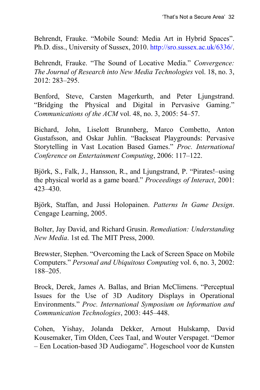Behrendt, Frauke. "Mobile Sound: Media Art in Hybrid Spaces". Ph.D. diss., University of Sussex, 2010. <http://sro.sussex.ac.uk/6336/>.

Behrendt, Frauke. "The Sound of Locative Media." *Convergence: The Journal of Research into New Media Technologies* vol. 18, no. 3, 2012: 283–295.

Benford, Steve, Carsten Magerkurth, and Peter Ljungstrand. "Bridging the Physical and Digital in Pervasive Gaming." *Communications of the ACM* vol. 48, no. 3, 2005: 54–57.

Bichard, John, Liselott Brunnberg, Marco Combetto, Anton Gustafsson, and Oskar Juhlin. "Backseat Playgrounds: Pervasive Storytelling in Vast Location Based Games." *Proc. International Conference on Entertainment Computing*, 2006: 117–122.

Björk, S., Falk, J., Hansson, R., and Ljungstrand, P. "Pirates!–using the physical world as a game board." *Proceedings of Interact*, 2001: 423–430.

Björk, Staffan, and Jussi Holopainen. *Patterns In Game Design*. Cengage Learning, 2005.

Bolter, Jay David, and Richard Grusin. *Remediation: Understanding New Media*. 1st ed. The MIT Press, 2000.

Brewster, Stephen. "Overcoming the Lack of Screen Space on Mobile Computers." *Personal and Ubiquitous Computing* vol. 6, no. 3, 2002: 188–205.

Brock, Derek, James A. Ballas, and Brian McClimens. "Perceptual Issues for the Use of 3D Auditory Displays in Operational Environments." *Proc. International Symposium on Information and Communication Technologies*, 2003: 445–448.

Cohen, Yishay, Jolanda Dekker, Arnout Hulskamp, David Kousemaker, Tim Olden, Cees Taal, and Wouter Verspaget. "Demor – Een Location-based 3D Audiogame". Hogeschool voor de Kunsten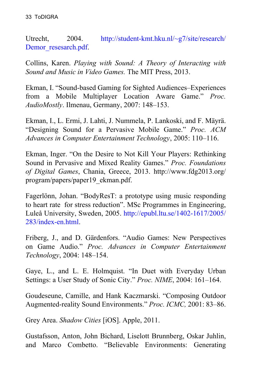Utrecht, 2004. [http://student-kmt.hku.nl/~g7/site/research/](http://student-kmt.hku.nl/~g7/site/research/demor_resesarch.pdf) [Demor\\_resesarch.pdf](http://student-kmt.hku.nl/~g7/site/research/demor_resesarch.pdf).

Collins, Karen. *Playing with Sound: A Theory of Interacting with Sound and Music in Video Games.* The MIT Press, 2013.

Ekman, I. "Sound-based Gaming for Sighted Audiences–Experiences from a Mobile Multiplayer Location Aware Game." *Proc. AudioMostly*. Ilmenau, Germany, 2007: 148–153.

Ekman, I., L. Ermi, J. Lahti, J. Nummela, P. Lankoski, and F. Mäyrä. "Designing Sound for a Pervasive Mobile Game." *Proc. ACM Advances in Computer Entertainment Technology*, 2005: 110–116.

Ekman, Inger. "On the Desire to Not Kill Your Players: Rethinking Sound in Pervasive and Mixed Reality Games." *Proc. Foundations of Digital Games*, Chania, Greece, 2013. http://www.fdg2013.org/ program/papers/paper19\_ekman.pdf.

Fagerlönn, Johan. "BodyResT: a prototype using music responding to heart rate for stress reduction". MSc Programmes in Engineering, Luleå University, Sweden, 2005. [http://epubl.ltu.se/1402-1617/2005/](http://epubl.ltu.se/1402-1617/2005/283/index-en.html) [283/index-en.html.](http://epubl.ltu.se/1402-1617/2005/283/index-en.html)

Friberg, J., and D. Gärdenfors. "Audio Games: New Perspectives on Game Audio." *Proc. Advances in Computer Entertainment Technology*, 2004: 148–154.

Gaye, L., and L. E. Holmquist. "In Duet with Everyday Urban Settings: a User Study of Sonic City." *Proc. NIME*, 2004: 161–164.

Goudeseune, Camille, and Hank Kaczmarski. "Composing Outdoor Augmented-reality Sound Environments." *Proc. ICMC,* 2001: 83–86.

Grey Area. *Shadow Cities* [iOS]. Apple, 2011.

Gustafsson, Anton, John Bichard, Liselott Brunnberg, Oskar Juhlin, and Marco Combetto. "Believable Environments: Generating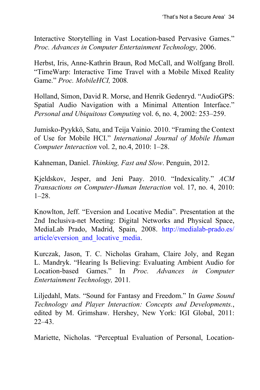Interactive Storytelling in Vast Location-based Pervasive Games." *Proc. Advances in Computer Entertainment Technology,* 2006.

Herbst, Iris, Anne-Kathrin Braun, Rod McCall, and Wolfgang Broll. "TimeWarp: Interactive Time Travel with a Mobile Mixed Reality Game." *Proc. MobileHCI,* 2008*.*

Holland, Simon, David R. Morse, and Henrik Gedenryd. "AudioGPS: Spatial Audio Navigation with a Minimal Attention Interface." *Personal and Ubiquitous Computing* vol. 6, no. 4, 2002: 253–259.

Jumisko-Pyykkö, Satu, and Teija Vainio. 2010. "Framing the Context of Use for Mobile HCI." *International Journal of Mobile Human Computer Interaction* vol. 2, no.4, 2010: 1–28.

Kahneman, Daniel. *Thinking, Fast and Slow*. Penguin, 2012.

Kjeldskov, Jesper, and Jeni Paay. 2010. "Indexicality." *ACM Transactions on Computer-Human Interaction* vol. 17, no. 4, 2010:  $1-28$ .

Knowlton, Jeff. "Eversion and Locative Media". Presentation at the 2nd Inclusiva-net Meeting: Digital Networks and Physical Space, MediaLab Prado, Madrid, Spain, 2008. [http://medialab-prado.es/](http://medialab-prado.es/article/eversion_and_locative_media) [article/eversion\\_and\\_locative\\_media](http://medialab-prado.es/article/eversion_and_locative_media).

Kurczak, Jason, T. C. Nicholas Graham, Claire Joly, and Regan L. Mandryk. "Hearing Is Believing: Evaluating Ambient Audio for Location-based Games." In *Proc. Advances in Computer Entertainment Technology,* 2011*.*

Liljedahl, Mats. "Sound for Fantasy and Freedom." In *Game Sound Technology and Player Interaction: Concepts and Developments.*, edited by M. Grimshaw. Hershey, New York: IGI Global, 2011: 22–43.

Mariette, Nicholas. "Perceptual Evaluation of Personal, Location-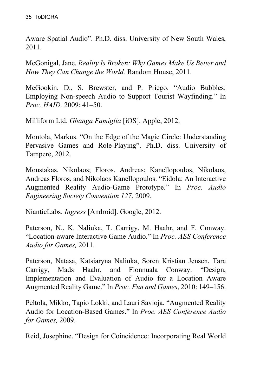Aware Spatial Audio". Ph.D. diss. University of New South Wales, 2011.

McGonigal, Jane. *Reality Is Broken: Why Games Make Us Better and How They Can Change the World.* Random House, 2011.

McGookin, D., S. Brewster, and P. Priego. "Audio Bubbles: Employing Non-speech Audio to Support Tourist Wayfinding." In *Proc. HAID,* 2009: 41–50.

Milliform Ltd. *Gbanga Famiglia* [iOS]. Apple, 2012.

Montola, Markus. "On the Edge of the Magic Circle: Understanding Pervasive Games and Role-Playing". Ph.D. diss. University of Tampere, 2012.

Moustakas, Nikolaos; Floros, Andreas; Kanellopoulos, Nikolaos, Andreas Floros, and Nikolaos Kanellopoulos. "Eidola: An Interactive Augmented Reality Audio-Game Prototype." In *Proc. Audio Engineering Society Convention 127*, 2009.

NianticLabs. *Ingress* [Android]. Google, 2012.

Paterson, N., K. Naliuka, T. Carrigy, M. Haahr, and F. Conway. "Location-aware Interactive Game Audio." In *Proc. AES Conference Audio for Games,* 2011.

Paterson, Natasa, Katsiaryna Naliuka, Soren Kristian Jensen, Tara Carrigy, Mads Haahr, and Fionnuala Conway. "Design, Implementation and Evaluation of Audio for a Location Aware Augmented Reality Game." In *Proc. Fun and Games*, 2010: 149–156.

Peltola, Mikko, Tapio Lokki, and Lauri Savioja. "Augmented Reality Audio for Location-Based Games." In *Proc. AES Conference Audio for Games,* 2009.

Reid, Josephine. "Design for Coincidence: Incorporating Real World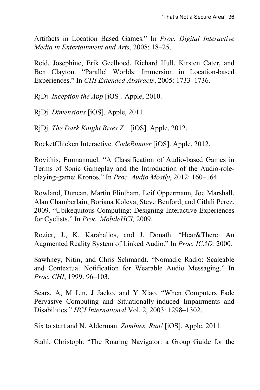Artifacts in Location Based Games." In *Proc. Digital Interactive Media in Entertainment and Arts*, 2008: 18–25.

Reid, Josephine, Erik Geelhoed, Richard Hull, Kirsten Cater, and Ben Clayton. "Parallel Worlds: Immersion in Location-based Experiences." In *CHI Extended Abstracts*, 2005: 1733–1736.

RjDj. *Inception the App* [iOS]. Apple, 2010.

RjDj. *Dimensions* [iOS]. Apple, 2011.

RjDj. *The Dark Knight Rises Z+* [iOS]. Apple, 2012.

RocketChicken Interactive. *CodeRunner* [iOS]. Apple, 2012.

Rovithis, Emmanouel. "A Classification of Audio-based Games in Terms of Sonic Gameplay and the Introduction of the Audio-roleplaying-game: Kronos." In *Proc. Audio Mostly*, 2012: 160–164.

Rowland, Duncan, Martin Flintham, Leif Oppermann, Joe Marshall, Alan Chamberlain, Boriana Koleva, Steve Benford, and Citlali Perez. 2009. "Ubikequitous Computing: Designing Interactive Experiences for Cyclists." In *Proc. MobileHCI,* 2009.

Rozier, J., K. Karahalios, and J. Donath. "Hear&There: An Augmented Reality System of Linked Audio." In *Proc. ICAD,* 2000*.*

Sawhney, Nitin, and Chris Schmandt. "Nomadic Radio: Scaleable and Contextual Notification for Wearable Audio Messaging." In *Proc. CHI*, 1999: 96–103.

Sears, A, M Lin, J Jacko, and Y Xiao. "When Computers Fade Pervasive Computing and Situationally-induced Impairments and Disabilities." *HCI International* Vol. 2, 2003: 1298–1302.

Six to start and N. Alderman. *Zombies, Run!* [iOS]. Apple, 2011.

Stahl, Christoph. "The Roaring Navigator: a Group Guide for the